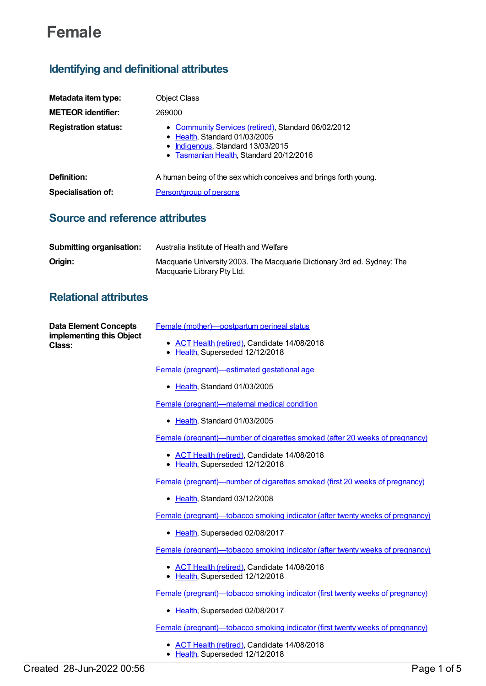# **Female**

## **Identifying and definitional attributes**

| Metadata item type:         | <b>Object Class</b>                                                                                                                                                           |
|-----------------------------|-------------------------------------------------------------------------------------------------------------------------------------------------------------------------------|
| <b>METEOR identifier:</b>   | 269000                                                                                                                                                                        |
| <b>Registration status:</b> | • Community Services (retired), Standard 06/02/2012<br>• Health, Standard 01/03/2005<br>Indigenous, Standard 13/03/2015<br>Tasmanian Health, Standard 20/12/2016<br>$\bullet$ |
| Definition:                 | A human being of the sex which conceives and brings forth young.                                                                                                              |
| <b>Specialisation of:</b>   | <b>Person/group of persons</b>                                                                                                                                                |
|                             |                                                                                                                                                                               |

### **Source and reference attributes**

| Submitting organisation: | Australia Institute of Health and Welfare                                                             |
|--------------------------|-------------------------------------------------------------------------------------------------------|
| Origin:                  | Macquarie University 2003. The Macquarie Dictionary 3rd ed. Sydney: The<br>Macquarie Library Pty Ltd. |

### **Relational attributes**

| <b>Data Element Concepts</b><br>implementing this Object<br><b>Class:</b> | Female (mother)-postpartum perineal status<br>ACT Health (retired), Candidate 14/08/2018<br>Health, Superseded 12/12/2018<br>٠ |
|---------------------------------------------------------------------------|--------------------------------------------------------------------------------------------------------------------------------|
|                                                                           |                                                                                                                                |
|                                                                           | Female (pregnant)-estimated gestational age                                                                                    |
|                                                                           | • Health, Standard 01/03/2005                                                                                                  |
|                                                                           | Female (pregnant)—maternal medical condition                                                                                   |
|                                                                           | • Health, Standard 01/03/2005                                                                                                  |
|                                                                           | Female (pregnant)—number of cigarettes smoked (after 20 weeks of pregnancy)                                                    |
|                                                                           | • ACT Health (retired), Candidate 14/08/2018<br>• Health, Superseded 12/12/2018                                                |
|                                                                           | Female (pregnant)—number of cigarettes smoked (first 20 weeks of pregnancy)                                                    |
|                                                                           | • Health, Standard 03/12/2008                                                                                                  |
|                                                                           | Female (pregnant)—tobacco smoking indicator (after twenty weeks of pregnancy)                                                  |
|                                                                           | • Health, Superseded 02/08/2017                                                                                                |
|                                                                           | <b>Female (pregnant)—tobacco smoking indicator (after twenty weeks of pregnancy)</b>                                           |
|                                                                           | • ACT Health (retired), Candidate 14/08/2018<br>• Health, Superseded 12/12/2018                                                |
|                                                                           | Female (pregnant)—tobacco smoking indicator (first twenty weeks of pregnancy)                                                  |
|                                                                           | • Health, Superseded 02/08/2017                                                                                                |
|                                                                           | <b>Female (pregnant)—tobacco smoking indicator (first twenty weeks of pregnancy)</b>                                           |
|                                                                           | • ACT Health (retired), Candidate 14/08/2018<br>• Health, Superseded 12/12/2018                                                |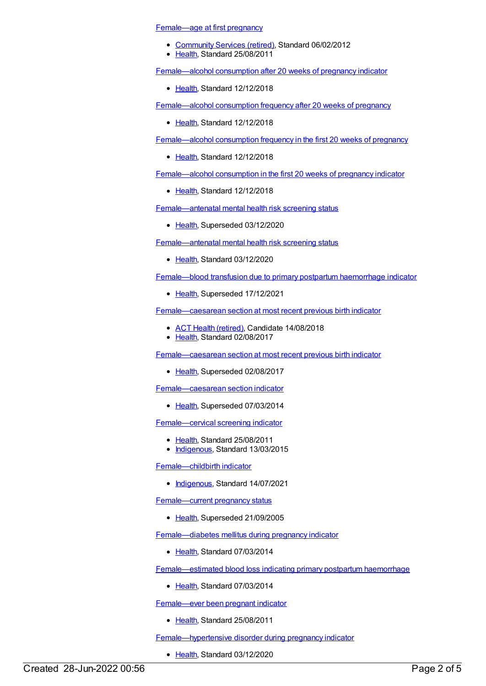[Female—age](https://meteor.aihw.gov.au/content/399573) at first pregnancy

- [Community](https://meteor.aihw.gov.au/RegistrationAuthority/1) Services (retired), Standard 06/02/2012
- [Health](https://meteor.aihw.gov.au/RegistrationAuthority/12), Standard 25/08/2011

[Female—alcohol](https://meteor.aihw.gov.au/content/690733) consumption after 20 weeks of pregnancy indicator

• [Health](https://meteor.aihw.gov.au/RegistrationAuthority/12), Standard 12/12/2018

[Female—alcohol](https://meteor.aihw.gov.au/content/691058) consumption frequency after 20 weeks of pregnancy

• [Health](https://meteor.aihw.gov.au/RegistrationAuthority/12), Standard 12/12/2018

[Female—alcohol](https://meteor.aihw.gov.au/content/691050) consumption frequency in the first 20 weeks of pregnancy

[Health](https://meteor.aihw.gov.au/RegistrationAuthority/12), Standard 12/12/2018

[Female—alcohol](https://meteor.aihw.gov.au/content/690476) consumption in the first 20 weeks of pregnancy indicator

• [Health](https://meteor.aihw.gov.au/RegistrationAuthority/12), Standard 12/12/2018

[Female—antenatal](https://meteor.aihw.gov.au/content/573724) mental health risk screening status

• [Health](https://meteor.aihw.gov.au/RegistrationAuthority/12), Superseded 03/12/2020

[Female—antenatal](https://meteor.aihw.gov.au/content/733472) mental health risk screening status

• [Health](https://meteor.aihw.gov.au/RegistrationAuthority/12), Standard 03/12/2020

[Female—blood](https://meteor.aihw.gov.au/content/522209) transfusion due to primary postpartum haemorrhage indicator

• [Health](https://meteor.aihw.gov.au/RegistrationAuthority/12), Superseded 17/12/2021

[Female—caesarean](https://meteor.aihw.gov.au/content/673245) section at most recent previous birth indicator

- ACT Health [\(retired\)](https://meteor.aihw.gov.au/RegistrationAuthority/9), Candidate 14/08/2018
- [Health](https://meteor.aihw.gov.au/RegistrationAuthority/12), Standard 02/08/2017

[Female—caesarean](https://meteor.aihw.gov.au/content/495926) section at most recent previous birth indicator

• [Health](https://meteor.aihw.gov.au/RegistrationAuthority/12), Superseded 02/08/2017

[Female—caesarean](https://meteor.aihw.gov.au/content/301989) section indicator

• [Health](https://meteor.aihw.gov.au/RegistrationAuthority/12), Superseded 07/03/2014

[Female—cervical](https://meteor.aihw.gov.au/content/358915) screening indicator

- Ealth, Standard 25/08/2011
- [Indigenous](https://meteor.aihw.gov.au/RegistrationAuthority/6), Standard 13/03/2015

[Female—childbirth](https://meteor.aihw.gov.au/content/739130) indicator

• [Indigenous](https://meteor.aihw.gov.au/RegistrationAuthority/6), Standard 14/07/2021

[Female—current](https://meteor.aihw.gov.au/content/269463) pregnancy status

• [Health](https://meteor.aihw.gov.au/RegistrationAuthority/12), Superseded 21/09/2005

[Female—diabetes](https://meteor.aihw.gov.au/content/504477) mellitus during pregnancy indicator

• [Health](https://meteor.aihw.gov.au/RegistrationAuthority/12), Standard 07/03/2014

[Female—estimated](https://meteor.aihw.gov.au/content/524213) blood loss indicating primary postpartum haemorrhage

• [Health](https://meteor.aihw.gov.au/RegistrationAuthority/12), Standard 07/03/2014

[Female—ever](https://meteor.aihw.gov.au/content/399556) been pregnant indicator

• [Health](https://meteor.aihw.gov.au/RegistrationAuthority/12), Standard 25/08/2011

[Female—hypertensive](https://meteor.aihw.gov.au/content/733522) disorder during pregnancy indicator

• [Health](https://meteor.aihw.gov.au/RegistrationAuthority/12), Standard 03/12/2020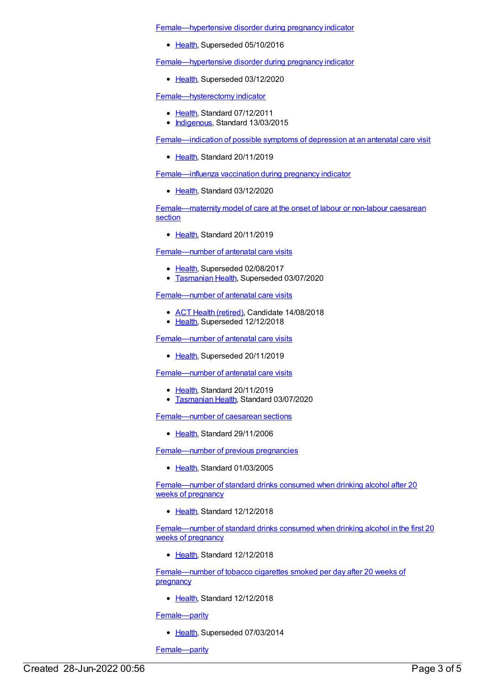[Female—hypertensive](https://meteor.aihw.gov.au/content/516804) disorder during pregnancy indicator

• [Health](https://meteor.aihw.gov.au/RegistrationAuthority/12), Superseded 05/10/2016

[Female—hypertensive](https://meteor.aihw.gov.au/content/655590) disorder during pregnancy indicator

• [Health](https://meteor.aihw.gov.au/RegistrationAuthority/12), Superseded 03/12/2020

[Female—hysterectomy](https://meteor.aihw.gov.au/content/457770) indicator

- [Health](https://meteor.aihw.gov.au/RegistrationAuthority/12), Standard 07/12/2011
- [Indigenous](https://meteor.aihw.gov.au/RegistrationAuthority/6), Standard 13/03/2015

[Female—indication](https://meteor.aihw.gov.au/content/704382) of possible symptoms of depression at an antenatal care visit

[Health](https://meteor.aihw.gov.au/RegistrationAuthority/12), Standard 20/11/2019

[Female—influenza](https://meteor.aihw.gov.au/content/721266) vaccination during pregnancy indicator

• [Health](https://meteor.aihw.gov.au/RegistrationAuthority/12), Standard 03/12/2020

[Female—maternity](https://meteor.aihw.gov.au/content/704355) model of care at the onset of labour or non-labour caesarean section

• [Health](https://meteor.aihw.gov.au/RegistrationAuthority/12), Standard 20/11/2019

[Female—number](https://meteor.aihw.gov.au/content/426463) of antenatal care visits

- [Health](https://meteor.aihw.gov.au/RegistrationAuthority/12), Superseded 02/08/2017
- **[Tasmanian](https://meteor.aihw.gov.au/RegistrationAuthority/15) Health, Superseded 03/07/2020**

[Female—number](https://meteor.aihw.gov.au/content/669977) of antenatal care visits

- ACT Health [\(retired\)](https://meteor.aihw.gov.au/RegistrationAuthority/9), Candidate 14/08/2018
- [Health](https://meteor.aihw.gov.au/RegistrationAuthority/12), Superseded 12/12/2018

[Female—number](https://meteor.aihw.gov.au/content/695238) of antenatal care visits

• [Health](https://meteor.aihw.gov.au/RegistrationAuthority/12), Superseded 20/11/2019

[Female—number](https://meteor.aihw.gov.au/content/717769) of antenatal care visits

- [Health](https://meteor.aihw.gov.au/RegistrationAuthority/12), Standard 20/11/2019
- **[Tasmanian](https://meteor.aihw.gov.au/RegistrationAuthority/15) Health, Standard 03/07/2020**

[Female—number](https://meteor.aihw.gov.au/content/297832) of caesarean sections

• [Health](https://meteor.aihw.gov.au/RegistrationAuthority/12), Standard 29/11/2006

[Female—number](https://meteor.aihw.gov.au/content/269454) of previous pregnancies

• [Health](https://meteor.aihw.gov.au/RegistrationAuthority/12), Standard 01/03/2005

[Female—number](https://meteor.aihw.gov.au/content/691037) of standard drinks consumed when drinking alcohol after 20 weeks of pregnancy

• [Health](https://meteor.aihw.gov.au/RegistrationAuthority/12), Standard 12/12/2018

[Female—number](https://meteor.aihw.gov.au/content/690748) of standard drinks consumed when drinking alcohol in the first 20 weeks of pregnancy

• [Health](https://meteor.aihw.gov.au/RegistrationAuthority/12), Standard 12/12/2018

[Female—number](https://meteor.aihw.gov.au/content/695379) of tobacco cigarettes smoked per day after 20 weeks of pregnancy

• [Health](https://meteor.aihw.gov.au/RegistrationAuthority/12), Standard 12/12/2018

[Female—parity](https://meteor.aihw.gov.au/content/302119)

• [Health](https://meteor.aihw.gov.au/RegistrationAuthority/12), Superseded 07/03/2014

[Female—parity](https://meteor.aihw.gov.au/content/475799)